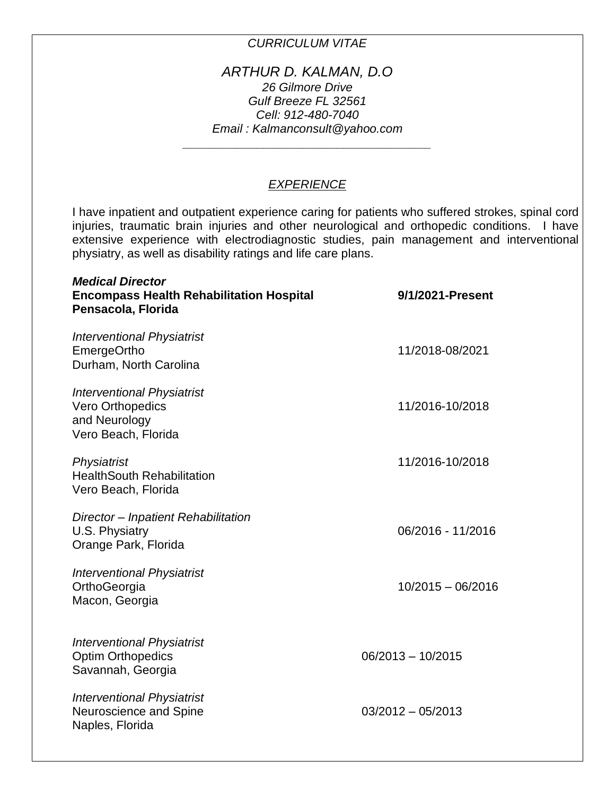# *CURRICULUM VITAE*

## *ARTHUR D. KALMAN, D.O 26 Gilmore Drive Gulf Breeze FL 32561 Cell: 912-480-7040 Email : Kalmanconsult@yahoo.com*

*\_\_\_\_\_\_\_\_\_\_\_\_\_\_\_\_\_\_\_\_\_\_\_\_\_\_\_\_\_\_\_\_\_\_\_\_\_*

# *EXPERIENCE*

I have inpatient and outpatient experience caring for patients who suffered strokes, spinal cord injuries, traumatic brain injuries and other neurological and orthopedic conditions. I have extensive experience with electrodiagnostic studies, pain management and interventional physiatry, as well as disability ratings and life care plans.

| <b>Medical Director</b><br><b>Encompass Health Rehabilitation Hospital</b><br>Pensacola, Florida | 9/1/2021-Present    |
|--------------------------------------------------------------------------------------------------|---------------------|
| <b>Interventional Physiatrist</b><br><b>EmergeOrtho</b><br>Durham, North Carolina                | 11/2018-08/2021     |
| <b>Interventional Physiatrist</b><br>Vero Orthopedics<br>and Neurology<br>Vero Beach, Florida    | 11/2016-10/2018     |
| Physiatrist<br><b>HealthSouth Rehabilitation</b><br>Vero Beach, Florida                          | 11/2016-10/2018     |
| Director - Inpatient Rehabilitation<br>U.S. Physiatry<br>Orange Park, Florida                    | 06/2016 - 11/2016   |
| <b>Interventional Physiatrist</b><br>OrthoGeorgia<br>Macon, Georgia                              | $10/2015 - 06/2016$ |
| <b>Interventional Physiatrist</b><br><b>Optim Orthopedics</b><br>Savannah, Georgia               | $06/2013 - 10/2015$ |
| <b>Interventional Physiatrist</b><br>Neuroscience and Spine<br>Naples, Florida                   | $03/2012 - 05/2013$ |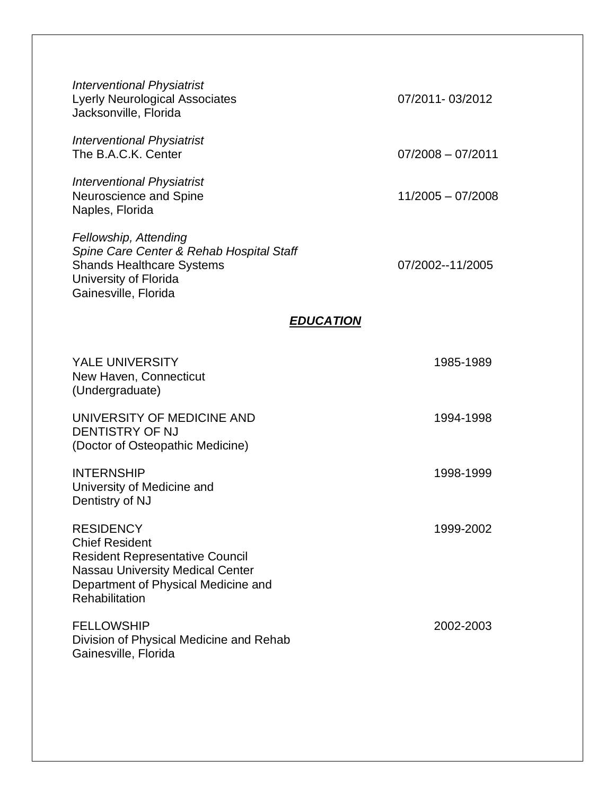| <b>Interventional Physiatrist</b><br><b>Lyerly Neurological Associates</b><br>Jacksonville, Florida                                                                                     | 07/2011-03/2012     |  |
|-----------------------------------------------------------------------------------------------------------------------------------------------------------------------------------------|---------------------|--|
| <b>Interventional Physiatrist</b><br>The B.A.C.K. Center                                                                                                                                | $07/2008 - 07/2011$ |  |
| <b>Interventional Physiatrist</b><br>Neuroscience and Spine<br>Naples, Florida                                                                                                          | $11/2005 - 07/2008$ |  |
| Fellowship, Attending<br>Spine Care Center & Rehab Hospital Staff<br><b>Shands Healthcare Systems</b><br>University of Florida<br>Gainesville, Florida                                  | 07/2002--11/2005    |  |
| <b>EDUCATION</b>                                                                                                                                                                        |                     |  |
| <b>YALE UNIVERSITY</b><br>New Haven, Connecticut<br>(Undergraduate)                                                                                                                     | 1985-1989           |  |
| UNIVERSITY OF MEDICINE AND<br><b>DENTISTRY OF NJ</b><br>(Doctor of Osteopathic Medicine)                                                                                                | 1994-1998           |  |
| <b>INTERNSHIP</b><br>University of Medicine and<br>Dentistry of NJ                                                                                                                      | 1998-1999           |  |
| <b>RESIDENCY</b><br><b>Chief Resident</b><br><b>Resident Representative Council</b><br><b>Nassau University Medical Center</b><br>Department of Physical Medicine and<br>Rehabilitation | 1999-2002           |  |
| <b>FELLOWSHIP</b><br>Division of Physical Medicine and Rehab<br>Gainesville, Florida                                                                                                    | 2002-2003           |  |
|                                                                                                                                                                                         |                     |  |